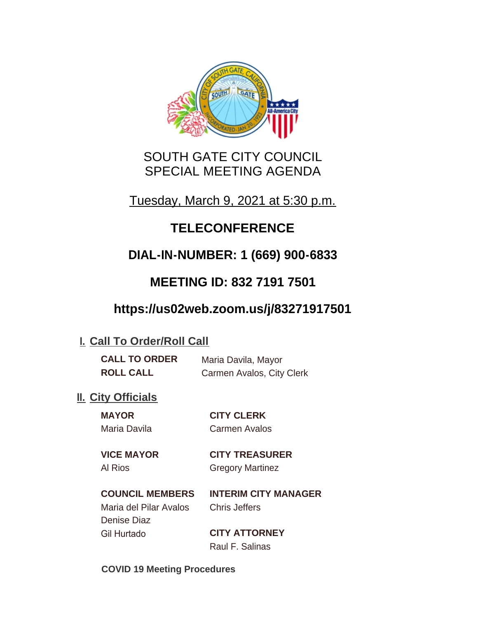

# SOUTH GATE CITY COUNCIL SPECIAL MEETING AGENDA

Tuesday, March 9, 2021 at 5:30 p.m.

# **TELECONFERENCE**

# **DIAL-IN-NUMBER: 1 (669) 900-6833**

# **MEETING ID: 832 7191 7501**

# **https://us02web.zoom.us/j/83271917501**

## **I. Call To Order/Roll Call**

| <b>CALL TO ORDER</b> | Maria Davila, Mayor       |
|----------------------|---------------------------|
| <b>ROLL CALL</b>     | Carmen Avalos, City Clerk |

## **II.** City Officials

**MAYOR CITY CLERK** Maria Davila Carmen Avalos

# **VICE MAYOR CITY TREASURER**

Al Rios Gregory Martinez

## **COUNCIL MEMBERS INTERIM CITY MANAGER** Maria del Pilar Avalos Chris Jeffers Denise Diaz Gil Hurtado **CITY ATTORNEY**

Raul F. Salinas

**COVID 19 Meeting Procedures**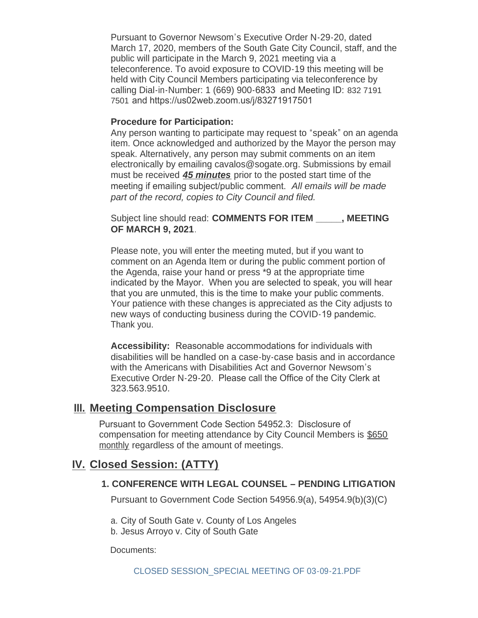Pursuant to Governor Newsom's Executive Order N-29-20, dated March 17, 2020, members of the South Gate City Council, staff, and the public will participate in the March 9, 2021 meeting via a teleconference. To avoid exposure to COVID-19 this meeting will be held with City Council Members participating via teleconference by calling Dial-in-Number: 1 (669) 900-6833 and Meeting ID: 832 7191 7501 and https://us02web.zoom.us/j/83271917501

#### **Procedure for Participation:**

Any person wanting to participate may request to "speak" on an agenda item. Once acknowledged and authorized by the Mayor the person may speak. Alternatively, any person may submit comments on an item electronically by emailing cavalos@sogate.org. Submissions by email must be received *45 minutes* prior to the posted start time of the meeting if emailing subject/public comment. *All emails will be made part of the record, copies to City Council and filed.*

Subject line should read: **COMMENTS FOR ITEM \_\_\_\_\_, MEETING OF MARCH 9, 2021**.

Please note, you will enter the meeting muted, but if you want to comment on an Agenda Item or during the public comment portion of the Agenda, raise your hand or press \*9 at the appropriate time indicated by the Mayor. When you are selected to speak, you will hear that you are unmuted, this is the time to make your public comments. Your patience with these changes is appreciated as the City adjusts to new ways of conducting business during the COVID-19 pandemic. Thank you.

**Accessibility:** Reasonable accommodations for individuals with disabilities will be handled on a case-by-case basis and in accordance with the Americans with Disabilities Act and Governor Newsom's Executive Order N-29-20. Please call the Office of the City Clerk at 323.563.9510.

### **Meeting Compensation Disclosure III.**

Pursuant to Government Code Section 54952.3: Disclosure of compensation for meeting attendance by City Council Members is \$650 monthly regardless of the amount of meetings.

## **Closed Session: (ATTY) IV.**

#### **1. CONFERENCE WITH LEGAL COUNSEL – PENDING LITIGATION**

Pursuant to Government Code Section 54956.9(a), 54954.9(b)(3)(C)

- a. City of South Gate v. County of Los Angeles
- b. Jesus Arroyo v. City of South Gate

Documents: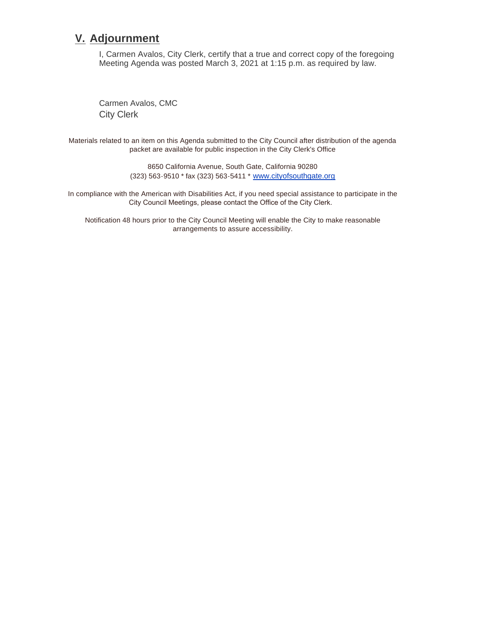## **Adjournment V.**

I, Carmen Avalos, City Clerk, certify that a true and correct copy of the foregoing Meeting Agenda was posted March 3, 2021 at 1:15 p.m. as required by law.

Carmen Avalos, CMC City Clerk

Materials related to an item on this Agenda submitted to the City Council after distribution of the agenda packet are available for public inspection in the City Clerk's Office

> 8650 California Avenue, South Gate, California 90280 (323) 563-9510 \* fax (323) 563-5411 \* [www.cityofsouthgate.org](http://www.cityofsouthgate.org/)

In compliance with the American with Disabilities Act, if you need special assistance to participate in the City Council Meetings, please contact the Office of the City Clerk.

Notification 48 hours prior to the City Council Meeting will enable the City to make reasonable arrangements to assure accessibility.